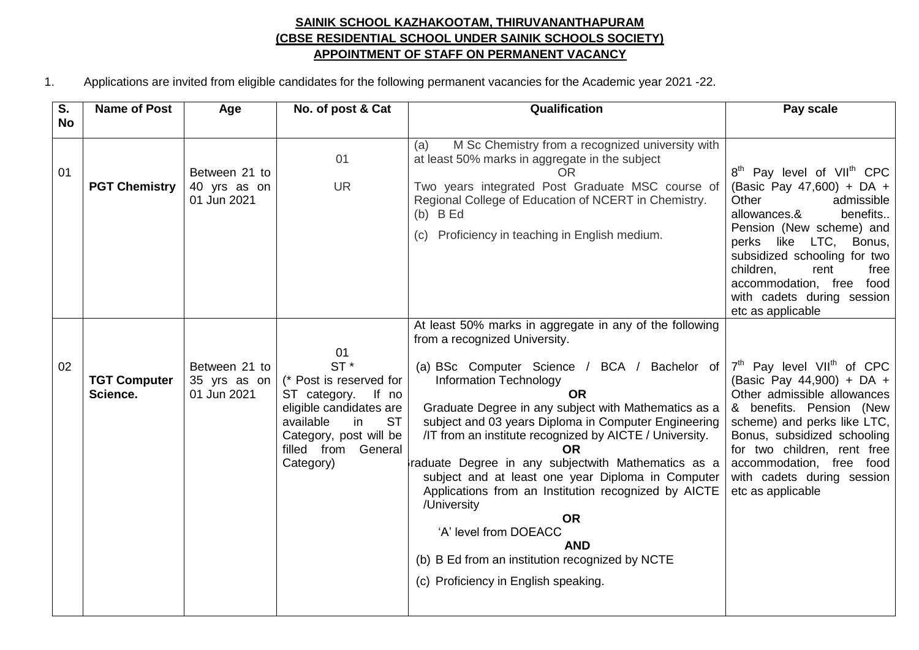## **SAINIK SCHOOL KAZHAKOOTAM, THIRUVANANTHAPURAM (CBSE RESIDENTIAL SCHOOL UNDER SAINIK SCHOOLS SOCIETY) APPOINTMENT OF STAFF ON PERMANENT VACANCY**

1. Applications are invited from eligible candidates for the following permanent vacancies for the Academic year 2021 -22.

| S.        | <b>Name of Post</b>             | Age                                          | No. of post & Cat                                                                                                                                                                         | Qualification                                                                                                                                                                                                                                                                                                                                                                                                                                                                                                                                                                                                                                                                                             | Pay scale                                                                                                                                                                                                                                                                                                                            |
|-----------|---------------------------------|----------------------------------------------|-------------------------------------------------------------------------------------------------------------------------------------------------------------------------------------------|-----------------------------------------------------------------------------------------------------------------------------------------------------------------------------------------------------------------------------------------------------------------------------------------------------------------------------------------------------------------------------------------------------------------------------------------------------------------------------------------------------------------------------------------------------------------------------------------------------------------------------------------------------------------------------------------------------------|--------------------------------------------------------------------------------------------------------------------------------------------------------------------------------------------------------------------------------------------------------------------------------------------------------------------------------------|
| <b>No</b> |                                 |                                              |                                                                                                                                                                                           |                                                                                                                                                                                                                                                                                                                                                                                                                                                                                                                                                                                                                                                                                                           |                                                                                                                                                                                                                                                                                                                                      |
| 01        | <b>PGT Chemistry</b>            | Between 21 to<br>40 yrs as on<br>01 Jun 2021 | 01<br><b>UR</b>                                                                                                                                                                           | M Sc Chemistry from a recognized university with<br>(a)<br>at least 50% marks in aggregate in the subject<br><b>OR</b><br>Two years integrated Post Graduate MSC course of<br>Regional College of Education of NCERT in Chemistry.<br>$(b)$ B Ed<br>(c) Proficiency in teaching in English medium.                                                                                                                                                                                                                                                                                                                                                                                                        | 8 <sup>th</sup> Pay level of VII <sup>th</sup> CPC<br>(Basic Pay 47,600) + DA +<br>Other<br>admissible<br>allowances.&<br>benefits<br>Pension (New scheme) and<br>perks like LTC, Bonus,<br>subsidized schooling for two<br>children,<br>rent<br>free<br>accommodation, free food<br>with cadets during session<br>etc as applicable |
| 02        | <b>TGT Computer</b><br>Science. | Between 21 to<br>35 yrs as on<br>01 Jun 2021 | 01<br>$ST^*$<br>(* Post is reserved for<br>If no<br>ST category.<br>eligible candidates are<br><b>ST</b><br>available<br>in<br>Category, post will be<br>filled from General<br>Category) | At least 50% marks in aggregate in any of the following<br>from a recognized University.<br>(a) BSc Computer Science / BCA / Bachelor of<br><b>Information Technology</b><br><b>OR</b><br>Graduate Degree in any subject with Mathematics as a<br>subject and 03 years Diploma in Computer Engineering<br>/IT from an institute recognized by AICTE / University.<br>OR.<br>raduate Degree in any subjectwith Mathematics as a<br>subject and at least one year Diploma in Computer<br>Applications from an Institution recognized by AICTE<br>/University<br><b>OR</b><br>'A' level from DOEACC<br><b>AND</b><br>(b) B Ed from an institution recognized by NCTE<br>(c) Proficiency in English speaking. | $7th$ Pay level VII <sup>th</sup> of CPC<br>(Basic Pay 44,900) + DA +<br>Other admissible allowances<br>& benefits. Pension (New<br>scheme) and perks like LTC,<br>Bonus, subsidized schooling<br>for two children, rent free<br>accommodation, free food<br>with cadets during session<br>etc as applicable                         |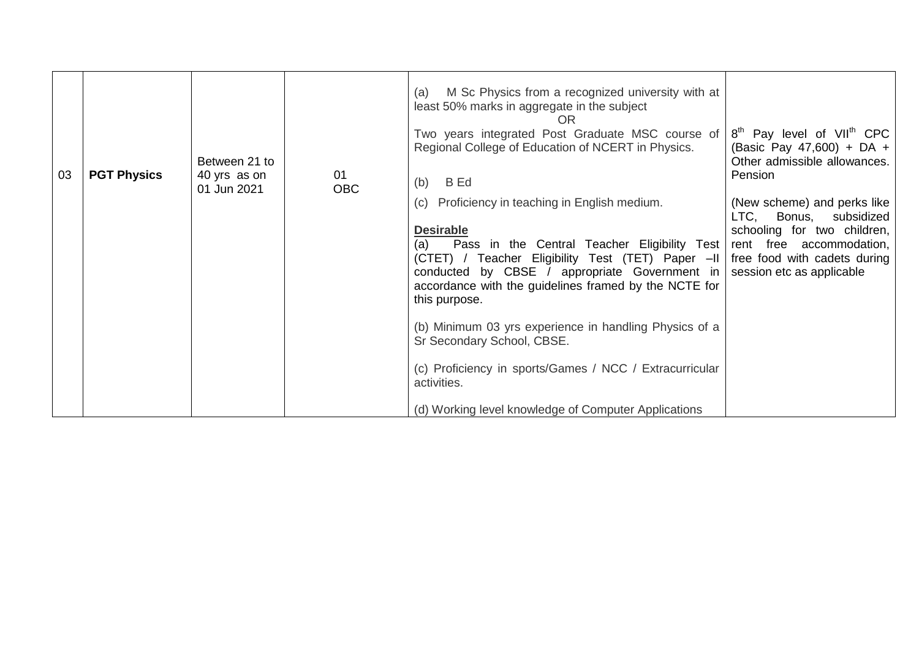| 03 |  | <b>PGT Physics</b> | Between 21 to<br>40 yrs as on<br>01 Jun 2021 | 01<br><b>OBC</b>                                                                                                                                                                                                                                                                                                                                                                                                                                                                                                     | M Sc Physics from a recognized university with at<br>(a)<br>least 50% marks in aggregate in the subject<br>OR<br>Two years integrated Post Graduate MSC course of<br>Regional College of Education of NCERT in Physics.<br><b>B</b> Ed<br>(b) | 8 <sup>th</sup> Pay level of VII <sup>th</sup> CPC<br>(Basic Pay 47,600) + DA +<br>Other admissible allowances.<br>Pension |
|----|--|--------------------|----------------------------------------------|----------------------------------------------------------------------------------------------------------------------------------------------------------------------------------------------------------------------------------------------------------------------------------------------------------------------------------------------------------------------------------------------------------------------------------------------------------------------------------------------------------------------|-----------------------------------------------------------------------------------------------------------------------------------------------------------------------------------------------------------------------------------------------|----------------------------------------------------------------------------------------------------------------------------|
|    |  |                    |                                              | (c) Proficiency in teaching in English medium.<br><b>Desirable</b><br>Pass in the Central Teacher Eligibility Test rent free accommodation,<br>(a)<br>(CTET) / Teacher Eligibility Test (TET) Paper -II   free food with cadets during<br>conducted by CBSE / appropriate Government in<br>accordance with the guidelines framed by the NCTE for<br>this purpose.<br>(b) Minimum 03 yrs experience in handling Physics of a<br>Sr Secondary School, CBSE.<br>(c) Proficiency in sports/Games / NCC / Extracurricular | (New scheme) and perks like<br>LTC, Bonus, subsidized<br>schooling for two children,<br>session etc as applicable                                                                                                                             |                                                                                                                            |
|    |  |                    |                                              | activities.<br>(d) Working level knowledge of Computer Applications                                                                                                                                                                                                                                                                                                                                                                                                                                                  |                                                                                                                                                                                                                                               |                                                                                                                            |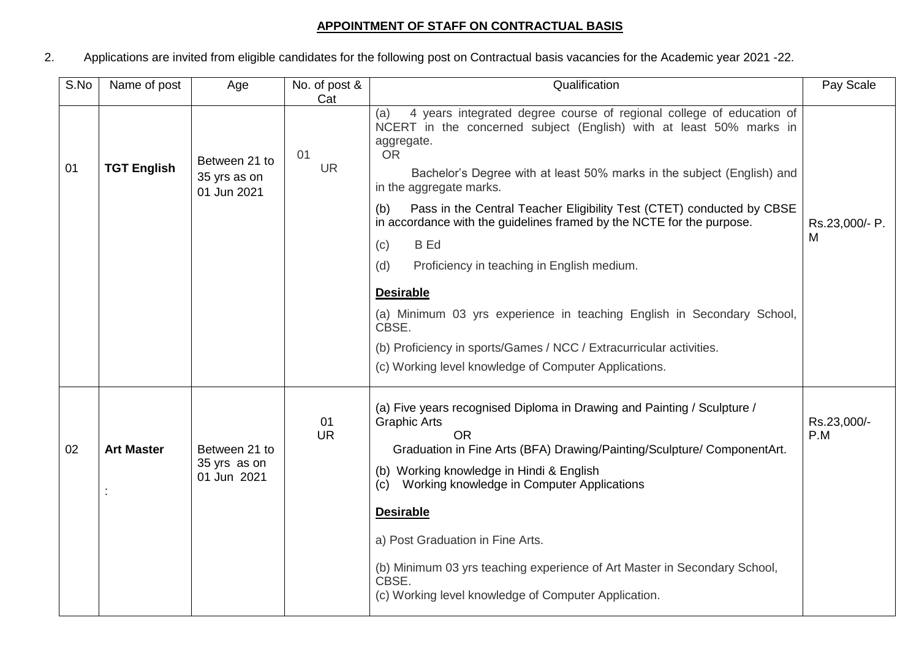## **APPOINTMENT OF STAFF ON CONTRACTUAL BASIS**

2. Applications are invited from eligible candidates for the following post on Contractual basis vacancies for the Academic year 2021 -22.

| S.No | Name of post       | Age                                          | No. of post &                                                                                                                                                                                                                                                                                                                                                                                                                                                                                                                                                                                                                                                                                                                                                                           | Qualification                                                                                                                                                                                                                                                                                                                                                                                                                                                                                 | Pay Scale           |
|------|--------------------|----------------------------------------------|-----------------------------------------------------------------------------------------------------------------------------------------------------------------------------------------------------------------------------------------------------------------------------------------------------------------------------------------------------------------------------------------------------------------------------------------------------------------------------------------------------------------------------------------------------------------------------------------------------------------------------------------------------------------------------------------------------------------------------------------------------------------------------------------|-----------------------------------------------------------------------------------------------------------------------------------------------------------------------------------------------------------------------------------------------------------------------------------------------------------------------------------------------------------------------------------------------------------------------------------------------------------------------------------------------|---------------------|
| 01   | <b>TGT English</b> | Between 21 to<br>35 yrs as on<br>01 Jun 2021 | Cat<br>4 years integrated degree course of regional college of education of<br>(a)<br>NCERT in the concerned subject (English) with at least 50% marks in<br>aggregate.<br><b>OR</b><br>01<br><b>UR</b><br>Bachelor's Degree with at least 50% marks in the subject (English) and<br>in the aggregate marks.<br>Pass in the Central Teacher Eligibility Test (CTET) conducted by CBSE<br>(b)<br>in accordance with the guidelines framed by the NCTE for the purpose.<br><b>B</b> Ed<br>(c)<br>Proficiency in teaching in English medium.<br>(d)<br><b>Desirable</b><br>(a) Minimum 03 yrs experience in teaching English in Secondary School,<br>CBSE.<br>(b) Proficiency in sports/Games / NCC / Extracurricular activities.<br>(c) Working level knowledge of Computer Applications. |                                                                                                                                                                                                                                                                                                                                                                                                                                                                                               | Rs.23,000/- P.<br>M |
| 02   | <b>Art Master</b>  | Between 21 to<br>35 yrs as on<br>01 Jun 2021 | 01<br><b>UR</b>                                                                                                                                                                                                                                                                                                                                                                                                                                                                                                                                                                                                                                                                                                                                                                         | (a) Five years recognised Diploma in Drawing and Painting / Sculpture /<br><b>Graphic Arts</b><br><b>OR</b><br>Graduation in Fine Arts (BFA) Drawing/Painting/Sculpture/ ComponentArt.<br>(b) Working knowledge in Hindi & English<br>Working knowledge in Computer Applications<br>(c)<br><b>Desirable</b><br>a) Post Graduation in Fine Arts.<br>(b) Minimum 03 yrs teaching experience of Art Master in Secondary School,<br>CBSE.<br>(c) Working level knowledge of Computer Application. | Rs.23,000/-<br>P.M  |